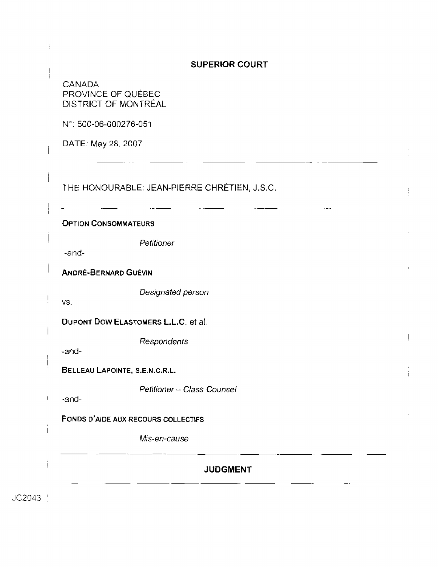|                              | <b>SUPERIOR COURT</b>                        |  |
|------------------------------|----------------------------------------------|--|
| CANADA<br>PROVINCE OF QUÉBEC | DISTRICT OF MONTRÉAL                         |  |
| N°: 500-06-000276-051        |                                              |  |
| DATE: May 28, 2007           |                                              |  |
|                              | THE HONOURABLE: JEAN-PIERRE CHRÉTIEN, J.S.C. |  |
| <b>OPTION CONSOMMATEURS</b>  |                                              |  |
| -and-                        | Petitioner                                   |  |
| <b>ANDRÉ-BERNARD GUÉVIN</b>  |                                              |  |
| VS.                          | Designated person                            |  |
|                              | <b>DUPONT DOW ELASTOMERS L.L.C. et al.</b>   |  |
| -and-                        | Respondents                                  |  |
|                              | BELLEAU LAPOINTE, S.E.N.C.R.L.               |  |
| -and-                        | Petitioner - Class Counsel                   |  |
|                              | FONDS D'AIDE AUX RECOURS COLLECTIFS          |  |
|                              | Mis-en-cause                                 |  |
|                              | <b>JUDGMENT</b>                              |  |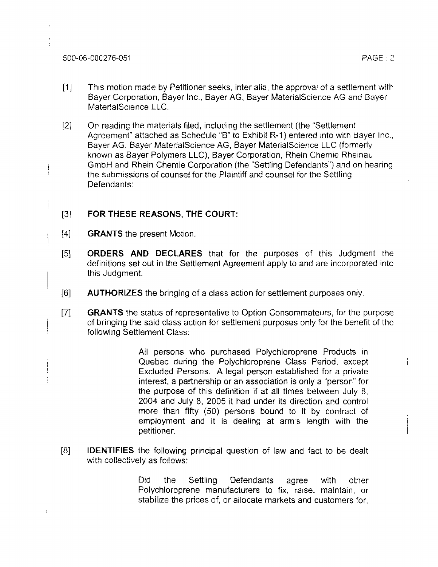500-06-000276-051 PAGE : 2

÷

i

- [I] This motion made by Petitioner seeks, inter aiia, the approval of <sup>a</sup>settlement with Bayer Corporation, Bayer tnc., Bayer AG, Bayer MaterialScience AG and Bayer MaterjalScience LLC.
- [2] On reading the materials filed, including the settlement (the "Settlement Agreement" attached as Schedule "B" to Exhibit  $R-1$ ) entered into with Bayer inc., Bayer AG, Bayer MaterialScience AG, Bayer MaterialScience LLC (formerly known as Bayer Polymers LLC), Bayer Corporation, Rhein Chemie Rheinau GmbH and Rhein Chemie Corporation (the "Settling Defendants") and on hearing the submissions of counsel for the Plaintiff **and** counsel for the Settling Defendants:

## *[3]* **FOR THESE REASONS, THE COURT:**

- $[4]$  GRANTS the present Motion.
- [5] ORDERS **AND** DECLARES that for the purposes of this Judgment the definitions set out in the Settlement Agreement apply to and are incorporated into this Judgment.
- 161 AUTHORIZES the bringing of a class action for settlement purposes only.
- [7] **GRANTS** the status of representative to Option Consommateurs, for the purpose <sup>i</sup>of bringing the said class action for settlement purposes only for the benefit of the following Settlement Class:

All persons who purchased Polychloroprene Products in Quebec during the Polychloroprene Class Period, except Excluded Persons. A legal person established for a private interest, a partnership or an association is only a "person" for the purpose of this definition if at all times between July 8. 2004 and July 8, 2005 it had under its direction and control more than fifty (50) persons bound to it by contract of employment and it is dealing at arm's length with the petitioner.

[8] IDENTIFIES the following principal question of law and fact to be dealt with collectively as follows:

> Did the Settling Defendants agree with other Polychloroprene manufacturers to fix, raise, maintain, or stabilize the prices of, or allocate markets and customers for.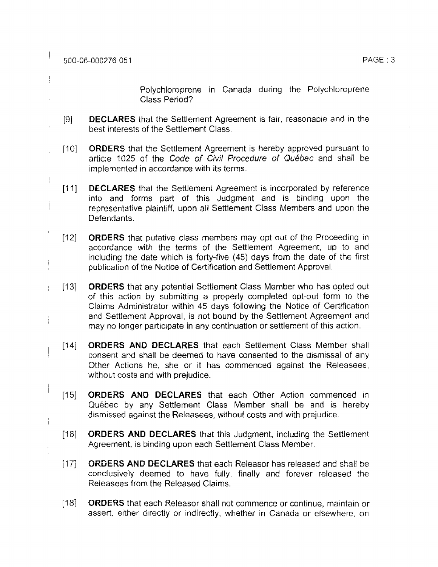500-06-000276-051

I

 $\bar{1}$ 

Ţ

 $\overline{1}$ 

 $\overline{1}$ 

 $\frac{1}{4}$ 

 $\begin{array}{c} \hline \end{array}$ 

 $\frac{1}{4}$ 

Polychloroprene in Canada during the Polychloroprene Class Period?

- [9] **DECLARES** that the Settlement Agreement is fair, reasonable and in the best interests of the Settlement Class.
- [10] **ORDERS** that the Settlement Agreement is hereby approved pursuant to article 1025 of the Code of Civil *Procedure* of Quebec and shall be implemented in accordance with its terms.
- [11] **DECLARES** that the Settlement Agreement is incorporated by reference into and forms part of this Judgment and is binding upon the i representative plaintiff, upon all Settlement Class Members and upon the Defendants.
- $[12]$ **ORDERS** that putative class members may opt out of the Proceeding in accordance with the terms of the Settlement Agreement, up to and including the date which is forty-five (45) days from *the* date of the first publication of the Notice of Certification and Settlement Approval.
- ORDERS that any potential Settlement Class Member who has opted out  $[13]$ of this action by submitting a properly completed opt-out form ro the Claims Administrator within 45 days following the Notice of Certification and Settlement Approval, is not bound by the Settlement Agreement and may no longer participate in any continuation or settlement of this action.
	- ORDERS AND **DECLARES** that each Settlement Class Member shall  $[14]$ consent and shall be deemed to have consented to the dismissal of any Other Actions he, she or it **hss** commenced against the Releasees, without costs and with prejudice.
	- $[15]$ **ORDERS AND** DECLARES that each Other Action commenced In Quebec by any Settlement Class Member shall be and is hereby dismissed against the Releasees, without costs and with prejudice.
	- **ORDERS AND** DECLARES that this Judgment, including the Settlement  $[16]$ Agreement, is binding upon each Settlement Class Member.
	- $[17]$ **ORDERS AND DECLARES** that each Releasor has released and shall be conclusively deemed to have fully, finally and forever released the Releasees from the Released Claims.
	- $[18]$ ORDERS that each Releasor shall not commence or continue, maintain or assert, either directly or indirectly, whether in Canada or elsewhere, on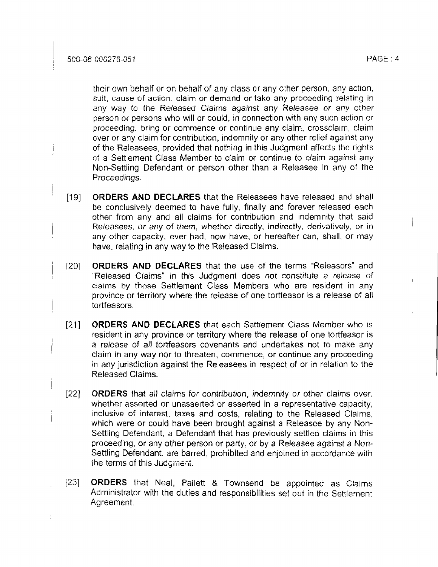their awn behalf or on behalf of any class or any other person, any action, suit, cause of action, claim or demand or take any proceeding relating in my way to the Released Claims against any Releasee or any other person or persons who will or could, in connection with any such action or proceeding, bring or commence or continue any claim, crossclaim, claim Gver or any claim for contribution, indemnity or any other relief against any of the Releasees, provided that nothing in this Judgment affects the rights of a Settlement Class Member to claim or continue to claim against any Non-Settling Defendant or person other than a Releasee in any of the Proceedings.

- $[19]$ **ORDERS AND DECLARES** that the Releasees have released and shall be conclusively deemed to have fully, finally and forever released each other from any and ail claims for contribution and indemnity that said Releasees, or any of them, whether directly, indirectly, derivatively, or in any other capacity, ever had, now have, or hereafter can, shall, or may have, relating in any way to the Released Claims.
- **ORDERS AND DECLARES** that the use of the terms "Releasors" and  $[20]$ "Released Claims" in **this** Judgment **does** not constitute a *release* of <sup>I</sup> claims by those Settlement Class Members who are resident in any province or territory where the release of one tortfeasor is a release of all tortfeasors.
- $1211$ **ORDERS AND DECLARES** that each Settlement Class Member who is resident in any province or territory where the release of one tortfeasor is a release of all tortfeasors covenants and undertakes not to make any claim in any way nor to threaten, commence, or continue any proceeding in any jurisdiction against the Releasees in respect of or in relation to the Released Claims.
- $[22]$ **ORDERS** that all claims for *contribution,* indemnity or other claims over, whether asserted or unasserted or asserted in a representative capacity, inclusive of interest, taxes and costs, relating to the Released Claims, which were or could have been brought against a Reteasee by any Non-Settling Defendant, a Defendant that has previously settled claims in this proceeding, or any other person or party, or by a Releasee against a Non-Settling Defendant, are barred, prohibited and enjoined in accordance with the terms of this Judgment.
- $[23]$ ORDERS that Neal, Pallett & Townsend be appointed as Claims Administrator with the duties and responsibilities set out in the Settlement Agreement.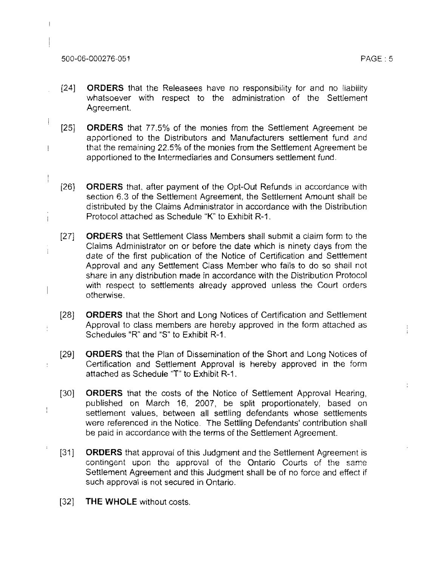## 500-06-000276-051 PAGE : 5

 $\overline{1}$ 

 $\begin{array}{c} \hline \end{array}$ 

Ť

 $\frac{1}{2}$ 

 $\frac{1}{2}$ 

 $\frac{1}{2}$ 

 $\ddot{\cdot}$ 

- 1241 **ORDERS** that the Releasees have no responsibility for and no liability whatsoever with respect to the administration of the Settlement Agreement.
- $[25]$ ORDERS that 77.5% of the monies from the Settlement Agreement be apportioned to the Distributors and Manufacturers settlement fund and that the remaining **22.5%** of the monies from the Settlement Agreement be apportioned to the Intermediaries and Consumers settlement fund.
- $[26]$ ORDERS that, after payment of the Opt-Out Refunds in accordance with section 6.3 of the Settlement Agreement, the Settlement Amount shalt be distributed by the Claims Administrator in accordance with the Distribution Protocol attached as Schedule "K" to Exhibit R-1.
- ORDERS thar Settlement Class Members shall submit a claim form to the  $[27]$ Claims Administrator on or before the date which is ninety days from the date of the first publication of the Notice of Certification and Settlement Approval and any Settlement Class Member who fails to do so shall not share in any distribution made in accordance with the Distribution Protocol with respect to settlements **already** approved unless the Court orders otherwise.
- $[28]$ ORDERS that the Short and Long Notices of Certification and Settlement Approval to class members are hereby approved in the form attached as Scheduies "R" and "S" to Exhibit R-I .
- $[29]$ ORDERS that the Plan of Dissemination of the Short and Long Notices of Certification and Settlement Approval is hereby approved in the form attached as Schedule "T" to Exhibit R-1.
- $[30]$ ORDERS that the costs of the Notice of Settlement Approval Hearing, published on March 16, 2007, be split proportionately, based on settlement values, between all settling defendants whose settlements were referenced in the Notice. The Settling Defendants' contribution shall be paid in accordance with the terms of the Settlement Agreement.
- $[31]$ **ORDERS** that approval of this Judgment and the Settlement Agreement is contingent upon the approval of the Ontario Courts of the same Settlement Agreement and this Judgment shall be of no force and effect if such approval is not secured in Ontario.
- [32] THE **WHOLE** without costs.